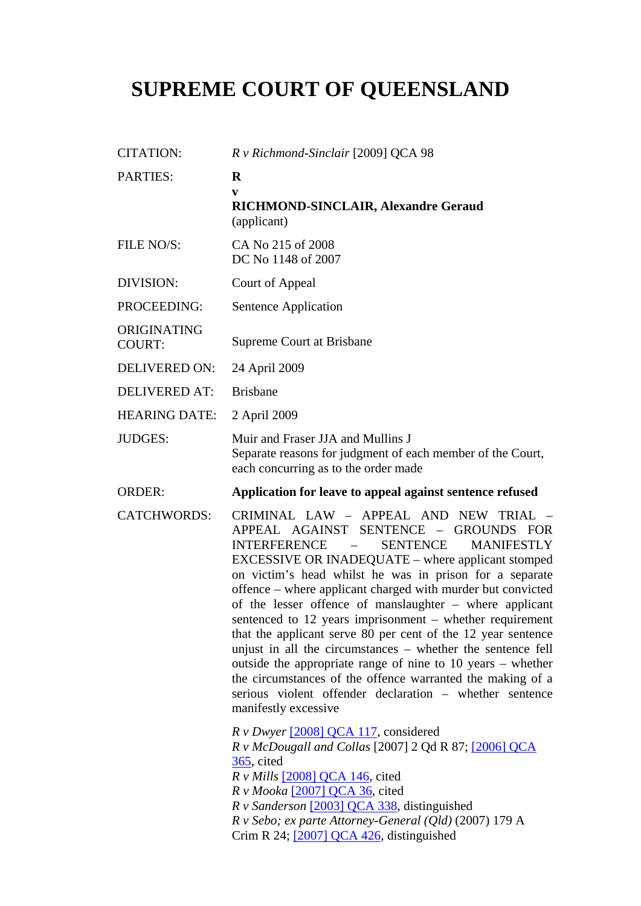# **SUPREME COURT OF QUEENSLAND**

| <b>CITATION:</b>             | R v Richmond-Sinclair [2009] QCA 98                                                                                                                                                                                                                                                                                                                                                                                                                                                                                                                                                                                                                                                                                                                                                                 |
|------------------------------|-----------------------------------------------------------------------------------------------------------------------------------------------------------------------------------------------------------------------------------------------------------------------------------------------------------------------------------------------------------------------------------------------------------------------------------------------------------------------------------------------------------------------------------------------------------------------------------------------------------------------------------------------------------------------------------------------------------------------------------------------------------------------------------------------------|
| <b>PARTIES:</b>              | $\bf R$<br>V<br>RICHMOND-SINCLAIR, Alexandre Geraud<br>(applicant)                                                                                                                                                                                                                                                                                                                                                                                                                                                                                                                                                                                                                                                                                                                                  |
| FILE NO/S:                   | CA No 215 of 2008<br>DC No 1148 of 2007                                                                                                                                                                                                                                                                                                                                                                                                                                                                                                                                                                                                                                                                                                                                                             |
| DIVISION:                    | Court of Appeal                                                                                                                                                                                                                                                                                                                                                                                                                                                                                                                                                                                                                                                                                                                                                                                     |
| PROCEEDING:                  | Sentence Application                                                                                                                                                                                                                                                                                                                                                                                                                                                                                                                                                                                                                                                                                                                                                                                |
| ORIGINATING<br><b>COURT:</b> | <b>Supreme Court at Brisbane</b>                                                                                                                                                                                                                                                                                                                                                                                                                                                                                                                                                                                                                                                                                                                                                                    |
| <b>DELIVERED ON:</b>         | 24 April 2009                                                                                                                                                                                                                                                                                                                                                                                                                                                                                                                                                                                                                                                                                                                                                                                       |
| <b>DELIVERED AT:</b>         | <b>Brisbane</b>                                                                                                                                                                                                                                                                                                                                                                                                                                                                                                                                                                                                                                                                                                                                                                                     |
| <b>HEARING DATE:</b>         | 2 April 2009                                                                                                                                                                                                                                                                                                                                                                                                                                                                                                                                                                                                                                                                                                                                                                                        |
| <b>JUDGES:</b>               | Muir and Fraser JJA and Mullins J<br>Separate reasons for judgment of each member of the Court,<br>each concurring as to the order made                                                                                                                                                                                                                                                                                                                                                                                                                                                                                                                                                                                                                                                             |
| <b>ORDER:</b>                | Application for leave to appeal against sentence refused                                                                                                                                                                                                                                                                                                                                                                                                                                                                                                                                                                                                                                                                                                                                            |
| <b>CATCHWORDS:</b>           | CRIMINAL LAW - APPEAL AND NEW TRIAL<br>APPEAL AGAINST<br>SENTENCE - GROUNDS FOR<br><b>INTERFERENCE</b><br><b>SENTENCE</b><br><b>MANIFESTLY</b><br>EXCESSIVE OR INADEQUATE – where applicant stomped<br>on victim's head whilst he was in prison for a separate<br>offence – where applicant charged with murder but convicted<br>of the lesser offence of manslaughter – where applicant<br>sentenced to 12 years imprisonment – whether requirement<br>that the applicant serve 80 per cent of the 12 year sentence<br>unjust in all the circumstances – whether the sentence fell<br>outside the appropriate range of nine to 10 years – whether<br>the circumstances of the offence warranted the making of a<br>serious violent offender declaration - whether sentence<br>manifestly excessive |
|                              | $R \nu Dwyer$ [2008] QCA 117, considered<br>R v McDougall and Collas [2007] 2 Qd R 87; [2006] QCA<br>$365$ , cited<br>$R v$ <i>Mills</i> [2008] QCA 146, cited<br>$R \text{ v}$ <i>Mooka</i> [2007] QCA 36, cited<br>R v Sanderson [2003] QCA 338, distinguished<br>$R$ v Sebo; ex parte Attorney-General (Qld) (2007) 179 A<br>Crim R 24; [2007] QCA 426, distinguished                                                                                                                                                                                                                                                                                                                                                                                                                            |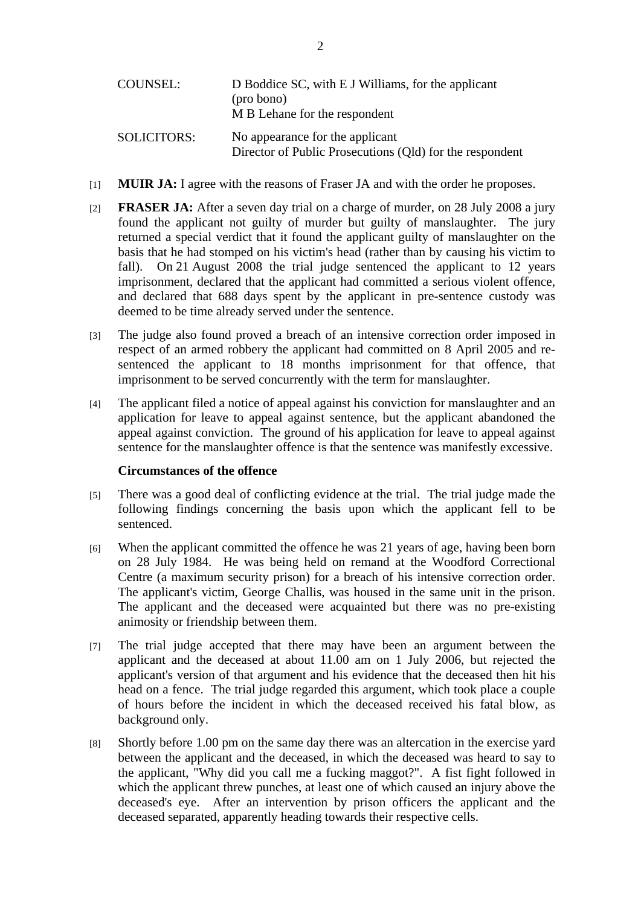| COUNSEL:           | D Boddice SC, with E J Williams, for the applicant<br>(pro bono)<br>M B Lehane for the respondent |
|--------------------|---------------------------------------------------------------------------------------------------|
| <b>SOLICITORS:</b> | No appearance for the applicant<br>Director of Public Prosecutions (Qld) for the respondent       |

- [1] **MUIR JA:** I agree with the reasons of Fraser JA and with the order he proposes.
- [2] **FRASER JA:** After a seven day trial on a charge of murder, on 28 July 2008 a jury found the applicant not guilty of murder but guilty of manslaughter. The jury returned a special verdict that it found the applicant guilty of manslaughter on the basis that he had stomped on his victim's head (rather than by causing his victim to fall). On 21 August 2008 the trial judge sentenced the applicant to 12 years imprisonment, declared that the applicant had committed a serious violent offence, and declared that 688 days spent by the applicant in pre-sentence custody was deemed to be time already served under the sentence.
- [3] The judge also found proved a breach of an intensive correction order imposed in respect of an armed robbery the applicant had committed on 8 April 2005 and resentenced the applicant to 18 months imprisonment for that offence, that imprisonment to be served concurrently with the term for manslaughter.
- [4] The applicant filed a notice of appeal against his conviction for manslaughter and an application for leave to appeal against sentence, but the applicant abandoned the appeal against conviction. The ground of his application for leave to appeal against sentence for the manslaughter offence is that the sentence was manifestly excessive.

#### **Circumstances of the offence**

- [5] There was a good deal of conflicting evidence at the trial. The trial judge made the following findings concerning the basis upon which the applicant fell to be sentenced.
- [6] When the applicant committed the offence he was 21 years of age, having been born on 28 July 1984. He was being held on remand at the Woodford Correctional Centre (a maximum security prison) for a breach of his intensive correction order. The applicant's victim, George Challis, was housed in the same unit in the prison. The applicant and the deceased were acquainted but there was no pre-existing animosity or friendship between them.
- [7] The trial judge accepted that there may have been an argument between the applicant and the deceased at about 11.00 am on 1 July 2006, but rejected the applicant's version of that argument and his evidence that the deceased then hit his head on a fence. The trial judge regarded this argument, which took place a couple of hours before the incident in which the deceased received his fatal blow, as background only.
- [8] Shortly before 1.00 pm on the same day there was an altercation in the exercise yard between the applicant and the deceased, in which the deceased was heard to say to the applicant, "Why did you call me a fucking maggot?". A fist fight followed in which the applicant threw punches, at least one of which caused an injury above the deceased's eye. After an intervention by prison officers the applicant and the deceased separated, apparently heading towards their respective cells.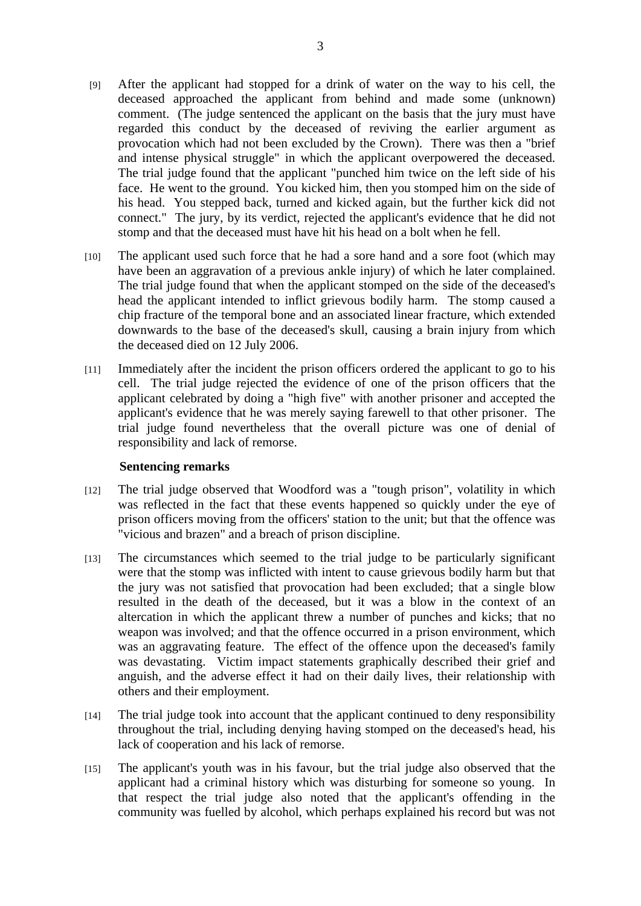- [9] After the applicant had stopped for a drink of water on the way to his cell, the deceased approached the applicant from behind and made some (unknown) comment. (The judge sentenced the applicant on the basis that the jury must have regarded this conduct by the deceased of reviving the earlier argument as provocation which had not been excluded by the Crown). There was then a "brief and intense physical struggle" in which the applicant overpowered the deceased. The trial judge found that the applicant "punched him twice on the left side of his face. He went to the ground. You kicked him, then you stomped him on the side of his head. You stepped back, turned and kicked again, but the further kick did not connect." The jury, by its verdict, rejected the applicant's evidence that he did not stomp and that the deceased must have hit his head on a bolt when he fell.
- [10] The applicant used such force that he had a sore hand and a sore foot (which may have been an aggravation of a previous ankle injury) of which he later complained. The trial judge found that when the applicant stomped on the side of the deceased's head the applicant intended to inflict grievous bodily harm. The stomp caused a chip fracture of the temporal bone and an associated linear fracture, which extended downwards to the base of the deceased's skull, causing a brain injury from which the deceased died on 12 July 2006.
- [11] Immediately after the incident the prison officers ordered the applicant to go to his cell. The trial judge rejected the evidence of one of the prison officers that the applicant celebrated by doing a "high five" with another prisoner and accepted the applicant's evidence that he was merely saying farewell to that other prisoner. The trial judge found nevertheless that the overall picture was one of denial of responsibility and lack of remorse.

### **Sentencing remarks**

- [12] The trial judge observed that Woodford was a "tough prison", volatility in which was reflected in the fact that these events happened so quickly under the eye of prison officers moving from the officers' station to the unit; but that the offence was "vicious and brazen" and a breach of prison discipline.
- [13] The circumstances which seemed to the trial judge to be particularly significant were that the stomp was inflicted with intent to cause grievous bodily harm but that the jury was not satisfied that provocation had been excluded; that a single blow resulted in the death of the deceased, but it was a blow in the context of an altercation in which the applicant threw a number of punches and kicks; that no weapon was involved; and that the offence occurred in a prison environment, which was an aggravating feature. The effect of the offence upon the deceased's family was devastating. Victim impact statements graphically described their grief and anguish, and the adverse effect it had on their daily lives, their relationship with others and their employment.
- [14] The trial judge took into account that the applicant continued to deny responsibility throughout the trial, including denying having stomped on the deceased's head, his lack of cooperation and his lack of remorse.
- [15] The applicant's youth was in his favour, but the trial judge also observed that the applicant had a criminal history which was disturbing for someone so young. In that respect the trial judge also noted that the applicant's offending in the community was fuelled by alcohol, which perhaps explained his record but was not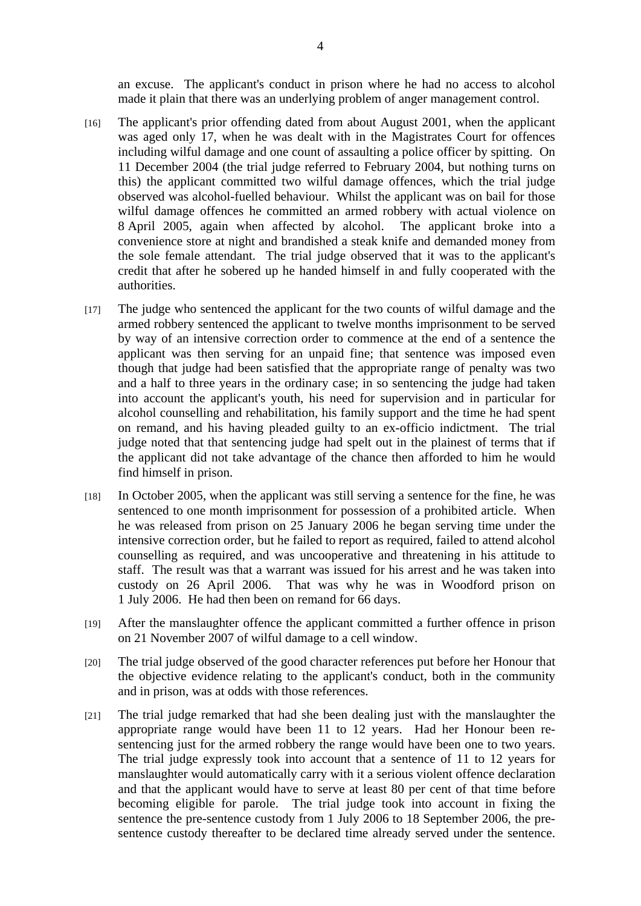an excuse. The applicant's conduct in prison where he had no access to alcohol made it plain that there was an underlying problem of anger management control.

- [16] The applicant's prior offending dated from about August 2001, when the applicant was aged only 17, when he was dealt with in the Magistrates Court for offences including wilful damage and one count of assaulting a police officer by spitting. On 11 December 2004 (the trial judge referred to February 2004, but nothing turns on this) the applicant committed two wilful damage offences, which the trial judge observed was alcohol-fuelled behaviour. Whilst the applicant was on bail for those wilful damage offences he committed an armed robbery with actual violence on 8 April 2005, again when affected by alcohol. The applicant broke into a convenience store at night and brandished a steak knife and demanded money from the sole female attendant. The trial judge observed that it was to the applicant's credit that after he sobered up he handed himself in and fully cooperated with the authorities.
- [17] The judge who sentenced the applicant for the two counts of wilful damage and the armed robbery sentenced the applicant to twelve months imprisonment to be served by way of an intensive correction order to commence at the end of a sentence the applicant was then serving for an unpaid fine; that sentence was imposed even though that judge had been satisfied that the appropriate range of penalty was two and a half to three years in the ordinary case; in so sentencing the judge had taken into account the applicant's youth, his need for supervision and in particular for alcohol counselling and rehabilitation, his family support and the time he had spent on remand, and his having pleaded guilty to an ex-officio indictment. The trial judge noted that that sentencing judge had spelt out in the plainest of terms that if the applicant did not take advantage of the chance then afforded to him he would find himself in prison.
- [18] In October 2005, when the applicant was still serving a sentence for the fine, he was sentenced to one month imprisonment for possession of a prohibited article. When he was released from prison on 25 January 2006 he began serving time under the intensive correction order, but he failed to report as required, failed to attend alcohol counselling as required, and was uncooperative and threatening in his attitude to staff. The result was that a warrant was issued for his arrest and he was taken into custody on 26 April 2006. That was why he was in Woodford prison on 1 July 2006. He had then been on remand for 66 days.
- [19] After the manslaughter offence the applicant committed a further offence in prison on 21 November 2007 of wilful damage to a cell window.
- [20] The trial judge observed of the good character references put before her Honour that the objective evidence relating to the applicant's conduct, both in the community and in prison, was at odds with those references.
- [21] The trial judge remarked that had she been dealing just with the manslaughter the appropriate range would have been 11 to 12 years. Had her Honour been resentencing just for the armed robbery the range would have been one to two years. The trial judge expressly took into account that a sentence of 11 to 12 years for manslaughter would automatically carry with it a serious violent offence declaration and that the applicant would have to serve at least 80 per cent of that time before becoming eligible for parole. The trial judge took into account in fixing the sentence the pre-sentence custody from 1 July 2006 to 18 September 2006, the presentence custody thereafter to be declared time already served under the sentence.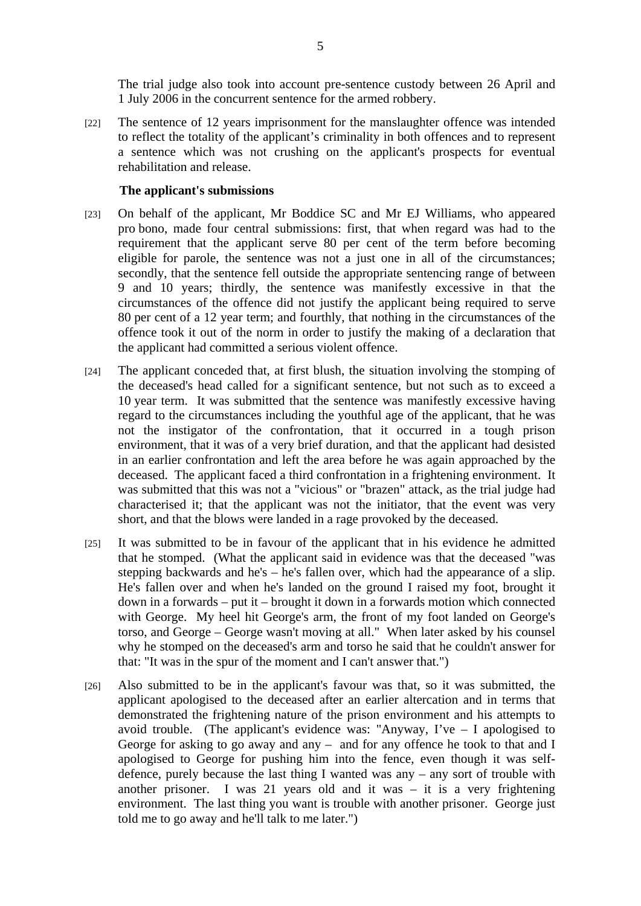The trial judge also took into account pre-sentence custody between 26 April and 1 July 2006 in the concurrent sentence for the armed robbery.

[22] The sentence of 12 years imprisonment for the manslaughter offence was intended to reflect the totality of the applicant's criminality in both offences and to represent a sentence which was not crushing on the applicant's prospects for eventual rehabilitation and release.

#### **The applicant's submissions**

- [23] On behalf of the applicant, Mr Boddice SC and Mr EJ Williams, who appeared pro bono, made four central submissions: first, that when regard was had to the requirement that the applicant serve 80 per cent of the term before becoming eligible for parole, the sentence was not a just one in all of the circumstances; secondly, that the sentence fell outside the appropriate sentencing range of between 9 and 10 years; thirdly, the sentence was manifestly excessive in that the circumstances of the offence did not justify the applicant being required to serve 80 per cent of a 12 year term; and fourthly, that nothing in the circumstances of the offence took it out of the norm in order to justify the making of a declaration that the applicant had committed a serious violent offence.
- [24] The applicant conceded that, at first blush, the situation involving the stomping of the deceased's head called for a significant sentence, but not such as to exceed a 10 year term. It was submitted that the sentence was manifestly excessive having regard to the circumstances including the youthful age of the applicant, that he was not the instigator of the confrontation, that it occurred in a tough prison environment, that it was of a very brief duration, and that the applicant had desisted in an earlier confrontation and left the area before he was again approached by the deceased. The applicant faced a third confrontation in a frightening environment. It was submitted that this was not a "vicious" or "brazen" attack, as the trial judge had characterised it; that the applicant was not the initiator, that the event was very short, and that the blows were landed in a rage provoked by the deceased.
- [25] It was submitted to be in favour of the applicant that in his evidence he admitted that he stomped. (What the applicant said in evidence was that the deceased "was stepping backwards and he's – he's fallen over, which had the appearance of a slip. He's fallen over and when he's landed on the ground I raised my foot, brought it down in a forwards – put it – brought it down in a forwards motion which connected with George. My heel hit George's arm, the front of my foot landed on George's torso, and George – George wasn't moving at all." When later asked by his counsel why he stomped on the deceased's arm and torso he said that he couldn't answer for that: "It was in the spur of the moment and I can't answer that.")
- [26] Also submitted to be in the applicant's favour was that, so it was submitted, the applicant apologised to the deceased after an earlier altercation and in terms that demonstrated the frightening nature of the prison environment and his attempts to avoid trouble. (The applicant's evidence was: "Anyway, I've  $-$  I apologised to George for asking to go away and any – and for any offence he took to that and I apologised to George for pushing him into the fence, even though it was selfdefence, purely because the last thing I wanted was any – any sort of trouble with another prisoner. I was 21 years old and it was – it is a very frightening environment. The last thing you want is trouble with another prisoner. George just told me to go away and he'll talk to me later.")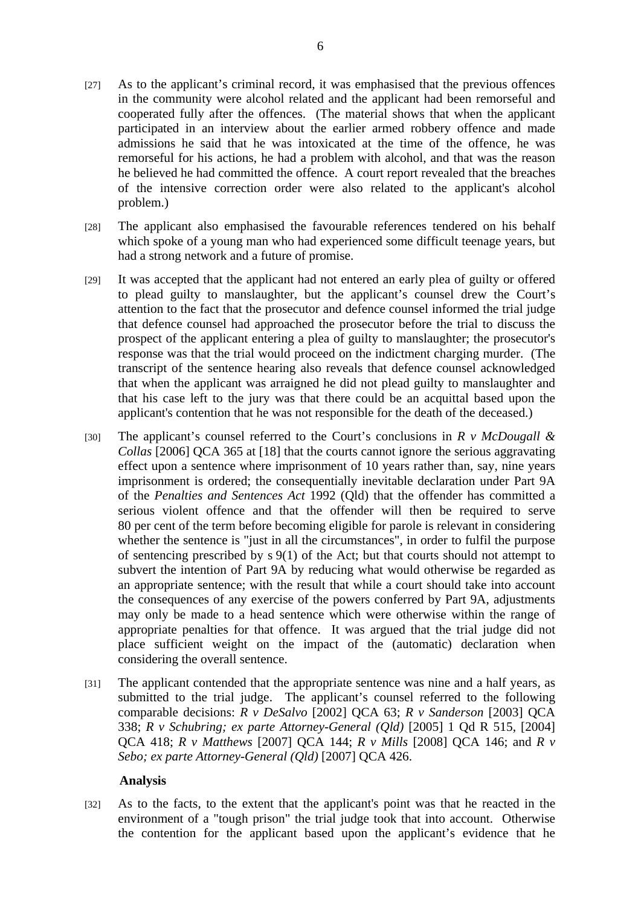- [27] As to the applicant's criminal record, it was emphasised that the previous offences in the community were alcohol related and the applicant had been remorseful and cooperated fully after the offences. (The material shows that when the applicant participated in an interview about the earlier armed robbery offence and made admissions he said that he was intoxicated at the time of the offence, he was remorseful for his actions, he had a problem with alcohol, and that was the reason he believed he had committed the offence. A court report revealed that the breaches of the intensive correction order were also related to the applicant's alcohol problem.)
- [28] The applicant also emphasised the favourable references tendered on his behalf which spoke of a young man who had experienced some difficult teenage years, but had a strong network and a future of promise.
- [29] It was accepted that the applicant had not entered an early plea of guilty or offered to plead guilty to manslaughter, but the applicant's counsel drew the Court's attention to the fact that the prosecutor and defence counsel informed the trial judge that defence counsel had approached the prosecutor before the trial to discuss the prospect of the applicant entering a plea of guilty to manslaughter; the prosecutor's response was that the trial would proceed on the indictment charging murder. (The transcript of the sentence hearing also reveals that defence counsel acknowledged that when the applicant was arraigned he did not plead guilty to manslaughter and that his case left to the jury was that there could be an acquittal based upon the applicant's contention that he was not responsible for the death of the deceased.)
- [30] The applicant's counsel referred to the Court's conclusions in *R v McDougall & Collas* [2006] QCA 365 at [18] that the courts cannot ignore the serious aggravating effect upon a sentence where imprisonment of 10 years rather than, say, nine years imprisonment is ordered; the consequentially inevitable declaration under Part 9A of the *Penalties and Sentences Act* 1992 (Qld) that the offender has committed a serious violent offence and that the offender will then be required to serve 80 per cent of the term before becoming eligible for parole is relevant in considering whether the sentence is "just in all the circumstances", in order to fulfil the purpose of sentencing prescribed by s 9(1) of the Act; but that courts should not attempt to subvert the intention of Part 9A by reducing what would otherwise be regarded as an appropriate sentence; with the result that while a court should take into account the consequences of any exercise of the powers conferred by Part 9A, adjustments may only be made to a head sentence which were otherwise within the range of appropriate penalties for that offence. It was argued that the trial judge did not place sufficient weight on the impact of the (automatic) declaration when considering the overall sentence.
- [31] The applicant contended that the appropriate sentence was nine and a half years, as submitted to the trial judge. The applicant's counsel referred to the following comparable decisions: *R v DeSalvo* [2002] QCA 63; *R v Sanderson* [2003] QCA 338; *R v Schubring; ex parte Attorney-General (Qld)* [2005] 1 Qd R 515, [2004] QCA 418; *R v Matthews* [2007] QCA 144; *R v Mills* [2008] QCA 146; and *R v Sebo; ex parte Attorney-General (Qld)* [2007] QCA 426.

## **Analysis**

[32] As to the facts, to the extent that the applicant's point was that he reacted in the environment of a "tough prison" the trial judge took that into account. Otherwise the contention for the applicant based upon the applicant's evidence that he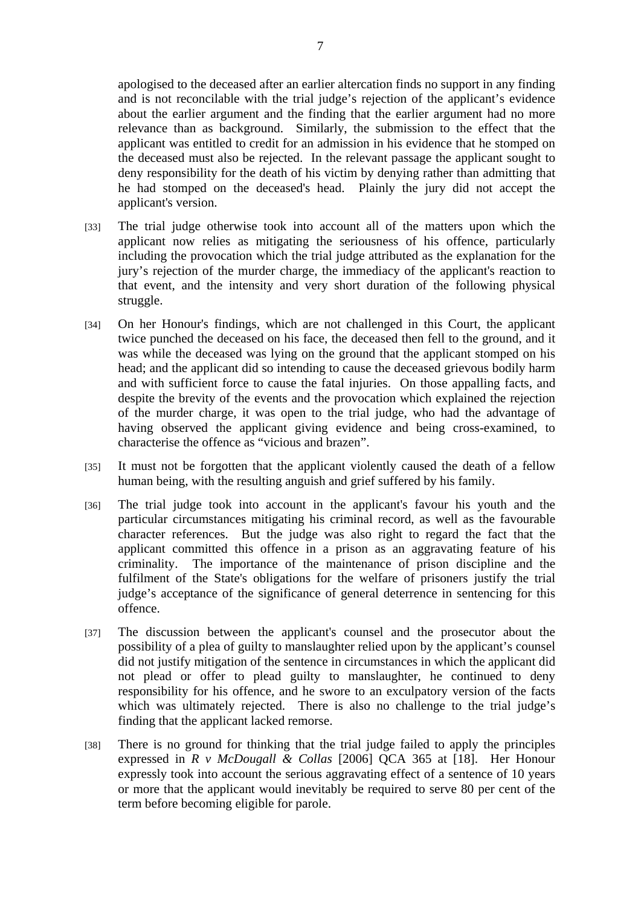apologised to the deceased after an earlier altercation finds no support in any finding and is not reconcilable with the trial judge's rejection of the applicant's evidence about the earlier argument and the finding that the earlier argument had no more relevance than as background. Similarly, the submission to the effect that the applicant was entitled to credit for an admission in his evidence that he stomped on the deceased must also be rejected. In the relevant passage the applicant sought to deny responsibility for the death of his victim by denying rather than admitting that he had stomped on the deceased's head. Plainly the jury did not accept the applicant's version.

- [33] The trial judge otherwise took into account all of the matters upon which the applicant now relies as mitigating the seriousness of his offence, particularly including the provocation which the trial judge attributed as the explanation for the jury's rejection of the murder charge, the immediacy of the applicant's reaction to that event, and the intensity and very short duration of the following physical struggle.
- [34] On her Honour's findings, which are not challenged in this Court, the applicant twice punched the deceased on his face, the deceased then fell to the ground, and it was while the deceased was lying on the ground that the applicant stomped on his head; and the applicant did so intending to cause the deceased grievous bodily harm and with sufficient force to cause the fatal injuries. On those appalling facts, and despite the brevity of the events and the provocation which explained the rejection of the murder charge, it was open to the trial judge, who had the advantage of having observed the applicant giving evidence and being cross-examined, to characterise the offence as "vicious and brazen".
- [35] It must not be forgotten that the applicant violently caused the death of a fellow human being, with the resulting anguish and grief suffered by his family.
- [36] The trial judge took into account in the applicant's favour his youth and the particular circumstances mitigating his criminal record, as well as the favourable character references. But the judge was also right to regard the fact that the applicant committed this offence in a prison as an aggravating feature of his criminality. The importance of the maintenance of prison discipline and the fulfilment of the State's obligations for the welfare of prisoners justify the trial judge's acceptance of the significance of general deterrence in sentencing for this offence.
- [37] The discussion between the applicant's counsel and the prosecutor about the possibility of a plea of guilty to manslaughter relied upon by the applicant's counsel did not justify mitigation of the sentence in circumstances in which the applicant did not plead or offer to plead guilty to manslaughter, he continued to deny responsibility for his offence, and he swore to an exculpatory version of the facts which was ultimately rejected. There is also no challenge to the trial judge's finding that the applicant lacked remorse.
- [38] There is no ground for thinking that the trial judge failed to apply the principles expressed in *R v McDougall & Collas* [2006] QCA 365 at [18]. Her Honour expressly took into account the serious aggravating effect of a sentence of 10 years or more that the applicant would inevitably be required to serve 80 per cent of the term before becoming eligible for parole.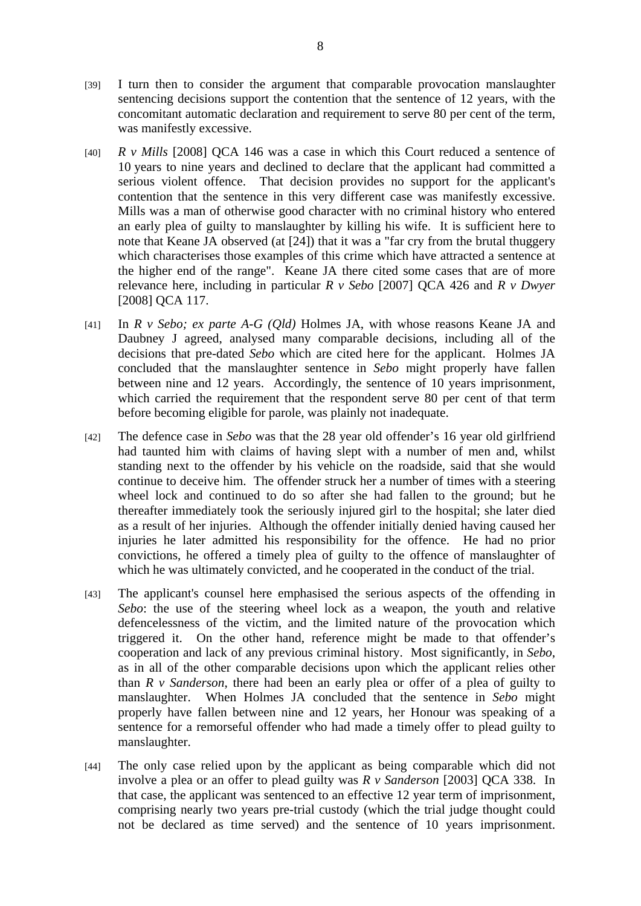- [39] I turn then to consider the argument that comparable provocation manslaughter sentencing decisions support the contention that the sentence of 12 years, with the concomitant automatic declaration and requirement to serve 80 per cent of the term, was manifestly excessive.
- [40] *R v Mills* [2008] QCA 146 was a case in which this Court reduced a sentence of 10 years to nine years and declined to declare that the applicant had committed a serious violent offence. That decision provides no support for the applicant's contention that the sentence in this very different case was manifestly excessive. Mills was a man of otherwise good character with no criminal history who entered an early plea of guilty to manslaughter by killing his wife. It is sufficient here to note that Keane JA observed (at [24]) that it was a "far cry from the brutal thuggery which characterises those examples of this crime which have attracted a sentence at the higher end of the range". Keane JA there cited some cases that are of more relevance here, including in particular *R v Sebo* [2007] QCA 426 and *R v Dwyer* [2008] QCA 117.
- [41] In *R v Sebo; ex parte A-G (Qld)* Holmes JA, with whose reasons Keane JA and Daubney J agreed, analysed many comparable decisions, including all of the decisions that pre-dated *Sebo* which are cited here for the applicant. Holmes JA concluded that the manslaughter sentence in *Sebo* might properly have fallen between nine and 12 years. Accordingly, the sentence of 10 years imprisonment, which carried the requirement that the respondent serve 80 per cent of that term before becoming eligible for parole, was plainly not inadequate.
- [42] The defence case in *Sebo* was that the 28 year old offender's 16 year old girlfriend had taunted him with claims of having slept with a number of men and, whilst standing next to the offender by his vehicle on the roadside, said that she would continue to deceive him. The offender struck her a number of times with a steering wheel lock and continued to do so after she had fallen to the ground; but he thereafter immediately took the seriously injured girl to the hospital; she later died as a result of her injuries. Although the offender initially denied having caused her injuries he later admitted his responsibility for the offence. He had no prior convictions, he offered a timely plea of guilty to the offence of manslaughter of which he was ultimately convicted, and he cooperated in the conduct of the trial.
- [43] The applicant's counsel here emphasised the serious aspects of the offending in *Sebo*: the use of the steering wheel lock as a weapon, the youth and relative defencelessness of the victim, and the limited nature of the provocation which triggered it. On the other hand, reference might be made to that offender's cooperation and lack of any previous criminal history. Most significantly, in *Sebo*, as in all of the other comparable decisions upon which the applicant relies other than *R v Sanderson*, there had been an early plea or offer of a plea of guilty to manslaughter. When Holmes JA concluded that the sentence in *Sebo* might properly have fallen between nine and 12 years, her Honour was speaking of a sentence for a remorseful offender who had made a timely offer to plead guilty to manslaughter.
- [44] The only case relied upon by the applicant as being comparable which did not involve a plea or an offer to plead guilty was *R v Sanderson* [2003] QCA 338. In that case, the applicant was sentenced to an effective 12 year term of imprisonment, comprising nearly two years pre-trial custody (which the trial judge thought could not be declared as time served) and the sentence of 10 years imprisonment.